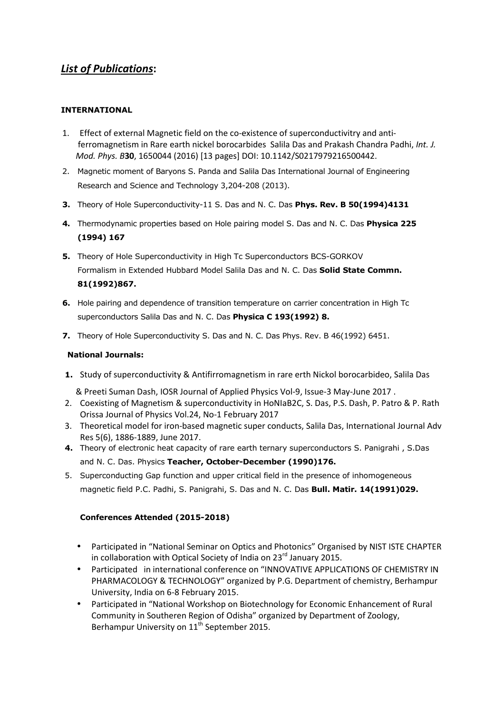## *List of Publications***:**

## **INTERNATIONAL**

- 1. Effect of external Magnetic field on the co-existence of superconductivitry and anti ferromagnetism in Rare earth nickel borocarbides Salila Das and Prakash Chandra Padhi, *Int. J. Mod. Phys. B***30**, 1650044 (2016) [13 pages] DOI: 10.1142/S0217979216500442.
- 2. Magnetic moment of Baryons S. Panda and Salila Das International Journal of Engineering Research and Science and Technology 3,204-208 (2013).
- **3.** Theory of Hole Superconductivity-11 S. Das and N. C. Das **Phys. Rev. B 50(1994)4131**
- **4.** Thermodynamic properties based on Hole pairing model S. Das and N. C. Das **Physica 225 (1994) 167**
- **5.** Theory of Hole Superconductivity in High Tc Superconductors BCS-GORKOV Formalism in Extended Hubbard Model Salila Das and N. C. Das **Solid State Commn. 81(1992)867.**
- **6.** Hole pairing and dependence of transition temperature on carrier concentration in High Tc superconductors Salila Das and N. C. Das **Physica C 193(1992) 8.**
- **7.** Theory of Hole Superconductivity S. Das and N. C. Das Phys. Rev. B 46(1992) 6451.

## **National Journals:**

**1.** Study of superconductivity & Antifirromagnetism in rare erth Nickol borocarbideo, Salila Das

& Preeti Suman Dash, IOSR Journal of Applied Physics Vol-9, Issue-3 May-June 2017 .

- 2. Coexisting of Magnetism & superconductivity in HoNIaB2C, S. Das, P.S. Dash, P. Patro & P. Rath Orissa Journal of Physics Vol.24, No-1 February 2017
- 3. Theoretical model for iron-based magnetic super conducts, Salila Das, International Journal Adv Res 5(6), 1886-1889, June 2017.
- **4.** Theory of electronic heat capacity of rare earth ternary superconductors S. Panigrahi , S.Das and N. C. Das. Physics **Teacher, October-December (1990)176.**
- 5. Superconducting Gap function and upper critical field in the presence of inhomogeneous magnetic field P.C. Padhi, S. Panigrahi, S. Das and N. C. Das **Bull. Matir. 14(1991)029.**

## **Conferences Attended (2015-2018)**

- Participated in "National Seminar on Optics and Photonics" Organised by NIST ISTE CHAPTER in collaboration with Optical Society of India on 23 $^{\text{rd}}$  January 2015.
- Participated in international conference on "INNOVATIVE APPLICATIONS OF CHEMISTRY IN PHARMACOLOGY & TECHNOLOGY" organized by P.G. Department of chemistry, Berhampur University, India on 6-8 February 2015.
- Participated in "National Workshop on Biotechnology for Economic Enhancement of Rural Community in Southeren Region of Odisha" organized by Department of Zoology, Berhampur University on 11<sup>th</sup> September 2015.